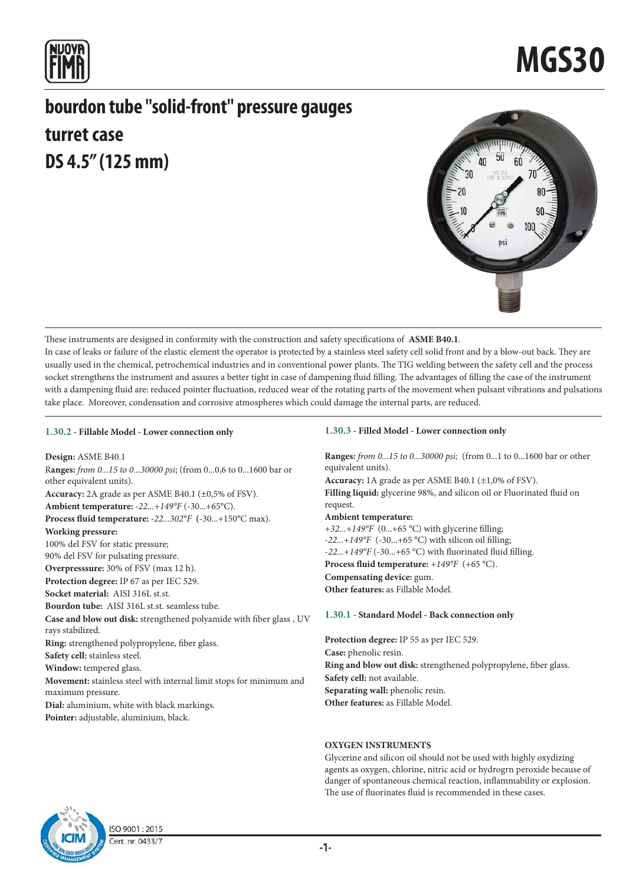

## **bourdon tube "solid-front" pressure gauges turret case DS 4.5" (125 mm)**



These instruments are designed in conformity with the construction and safety specifications of **ASME B40.1**. In case of leaks or failure of the elastic element the operator is protected by a stainless steel safety cell solid front and by a blow-out back. They are usually used in the chemical, petrochemical industries and in conventional power plants. The TIG welding between the safety cell and the process socket strengthens the instrument and assures a better tight in case of dampening fluid filling. The advantages of filling the case of the instrument with a dampening fluid are: reduced pointer fluctuation, reduced wear of the rotating parts of the movement when pulsant vibrations and pulsations take place. Moreover, condensation and corrosive atmospheres which could damage the internal parts, are reduced.

### **1.30.2 - Fillable Model - Lower connection only**

**Design:** ASME B40.1 R**anges:** *from 0...15 to 0...30000 psi*; (from 0...0,6 to 0...1600 bar or other equivalent units). **Accuracy:** 2A grade as per ASME B40.1 (±0,5% of FSV). **Ambient temperature:** *-22...+149°F* (-30...+65°C). **Process fluid temperature:** *-22...302°F* **(**-30...+150°C max). **Working pressure:** 100% del FSV for static pressure; 90% del FSV for pulsating pressure. **Overpresssure:** 30% of FSV (max 12 h). **Protection degree:** IP 67 as per IEC 529. **Socket material:** AISI 316L st.st. **Bourdon tube:** AISI 316L st.st. seamless tube. **Case and blow out disk:** strengthened polyamide with fiber glass , UV rays stabilized. **Ring:** strengthened polypropylene, fiber glass. **Safety cell:** stainless steel. **Window:** tempered glass. **Movement:** stainless steel with internal limit stops for minimum and maximum pressure. **Dial:** aluminium, white with black markings. **Pointer:** adjustable, aluminium, black.

### **1.30.3 - Filled Model - Lower connection only**

**Ranges:** *from 0...15 to 0...30000 psi;* (from 0...1 to 0...1600 bar or other equivalent units).

**Accuracy:** 1A grade as per ASME B40.1 (±1,0% of FSV). **Filling liquid:** glycerine 98%, and silicon oil or Fluorinated fluid on request.

### **Ambient temperature:**

*+32...+149°F* (0...+65 °C) with glycerine filling; *-22...+149°F* (-30...+65 °C) with silicon oil filling; -*22...+149°F* (-30...+65 °C) with fluorinated fluid filling. **Process fluid temperature:** *+149°F* (+65 °C). **Compensating device:** gum. **Other features:** as Fillable Model.

### **1.30.1 - Standard Model - Back connection only**

**Protection degree:** IP 55 as per IEC 529. **Case:** phenolic resin. **Ring and blow out disk:** strengthened polypropylene, fiber glass. **Safety cell:** not available. Separating wall: phenolic resin. **Other features:** as Fillable Model.

### **OXYGEN INSTRUMENTS**

Glycerine and silicon oil should not be used with highly oxydizing agents as oxygen, chlorine, nitric acid or hydrogrn peroxide because of danger of spontaneous chemical reaction, inflammability or explosion. The use of fluorinates fluid is recommended in these cases.



ISO 9001:2015 Cert. nr. 0433/7